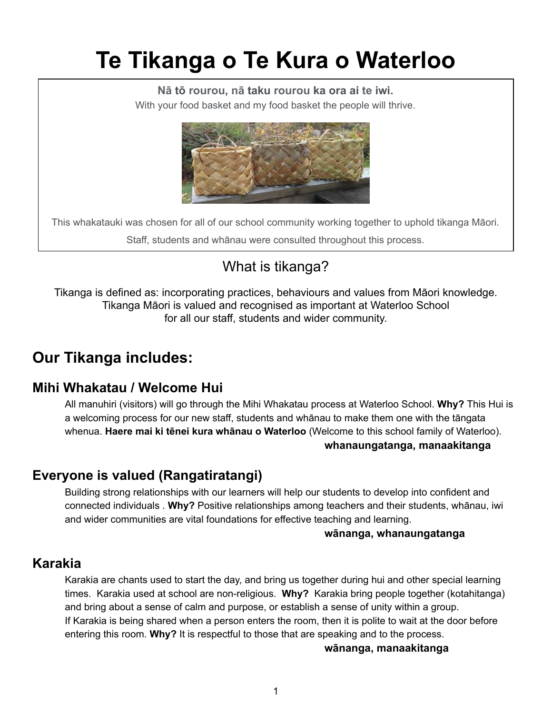# **Te Tikanga o Te Kura o Waterloo**

**Nā tō rourou, nā taku rourou ka ora ai te iwi.**

With your food basket and my food basket the people will thrive.



This whakatauki was chosen for all of our school community working together to uphold tikanga Māori. Staff, students and whānau were consulted throughout this process.

## What is tikanga?

Tikanga is defined as: incorporating practices, behaviours and values from Māori knowledge. Tikanga Māori is valued and recognised as important at Waterloo School for all our staff, students and wider community.

## **Our Tikanga includes:**

### **Mihi Whakatau / Welcome Hui**

All manuhiri (visitors) will go through the Mihi Whakatau process at Waterloo School. **Why?** This Hui is a welcoming process for our new staff, students and whānau to make them one with the tāngata whenua. **Haere mai ki tēnei kura whānau o Waterloo** (Welcome to this school family of Waterloo). **whanaungatanga, manaakitanga**

## **Everyone is valued (Rangatiratangi)**

Building strong relationships with our learners will help our students to develop into confident and connected individuals . **Why?** Positive relationships among teachers and their students, whānau, iwi and wider communities are vital foundations for effective teaching and learning.

#### **wānanga, whanaungatanga**

#### **Karakia**

Karakia are chants used to start the day, and bring us together during hui and other special learning times. Karakia used at school are non-religious. **Why?** Karakia bring people together (kotahitanga) and bring about a sense of calm and purpose, or establish a sense of unity within a group. If Karakia is being shared when a person enters the room, then it is polite to wait at the door before entering this room. **Why?** It is respectful to those that are speaking and to the process.

#### **wānanga, manaakitanga**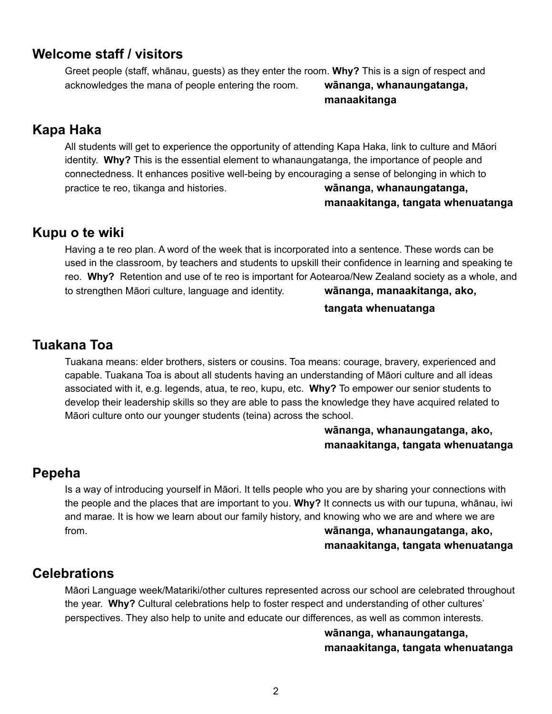#### **Welcome staff / visitors**

Greet people (staff, whānau, guests) as they enter the room. **Why?** This is a sign of respect and acknowledges the mana of people entering the room. **wānanga, whanaungatanga,**

**manaakitanga**

### **Kapa Haka**

All students will get to experience the opportunity of attending Kapa Haka, link to culture and Māori identity. **Why?** This is the essential element to whanaungatanga, the importance of people and connectedness. It enhances positive well-being by encouraging a sense of belonging in which to practice te reo, tikanga and histories. **wānanga, whanaungatanga,**

#### **manaakitanga, tangata whenuatanga**

#### **Kupu o te wiki**

Having a te reo plan. A word of the week that is incorporated into a sentence. These words can be used in the classroom, by teachers and students to upskill their confidence in learning and speaking te reo. **Why?** Retention and use of te reo is important for Aotearoa/New Zealand society as a whole, and to strengthen Māori culture, language and identity. **wānanga, manaakitanga, ako,**

#### **tangata whenuatanga**

#### **Tuakana Toa**

Tuakana means: elder brothers, sisters or cousins. Toa means: courage, bravery, experienced and capable. Tuakana Toa is about all students having an understanding of Māori culture and all ideas associated with it, e.g. legends, atua, te reo, kupu, etc. **Why?** To empower our senior students to develop their leadership skills so they are able to pass the knowledge they have acquired related to Māori culture onto our younger students (teina) across the school.

#### **wānanga, whanaungatanga, ako, manaakitanga, tangata whenuatanga**

#### **Pepeha**

Is a way of introducing yourself in Māori. It tells people who you are by sharing your connections with the people and the places that are important to you. **Why?** It connects us with our tupuna, whānau, iwi and marae. It is how we learn about our family history, and knowing who we are and where we are from. **wānanga, whanaungatanga, ako,**

#### **manaakitanga, tangata whenuatanga**

#### **Celebrations**

Māori Language week/Matariki/other cultures represented across our school are celebrated throughout the year. **Why?** Cultural celebrations help to foster respect and understanding of other cultures' perspectives. They also help to unite and educate our differences, as well as common interests.

> **wānanga, whanaungatanga, manaakitanga, tangata whenuatanga**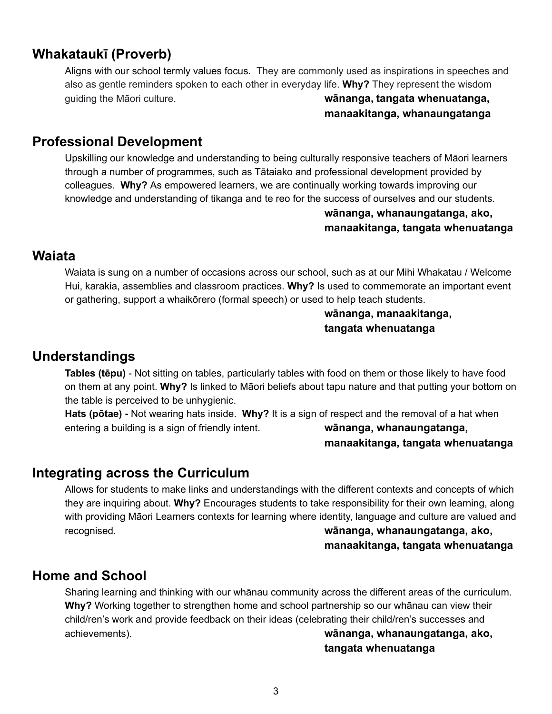### **Whakataukī (Proverb)**

Aligns with our school termly values focus. They are commonly used as inspirations in speeches and also as gentle reminders spoken to each other in everyday life. **Why?** They represent the wisdom guiding the Māori culture. **wānanga, tangata whenuatanga,**

**manaakitanga, whanaungatanga**

#### **Professional Development**

Upskilling our knowledge and understanding to being culturally responsive teachers of Māori learners through a number of programmes, such as Tātaiako and professional development provided by colleagues. **Why?** As empowered learners, we are continually working towards improving our knowledge and understanding of tikanga and te reo for the success of ourselves and our students.

> **wānanga, whanaungatanga, ako, manaakitanga, tangata whenuatanga**

#### **Waiata**

Waiata is sung on a number of occasions across our school, such as at our Mihi Whakatau / Welcome Hui, karakia, assemblies and classroom practices. **Why?** Is used to commemorate an important event or gathering, support a whaikōrero (formal speech) or used to help teach students.

> **wānanga, manaakitanga, tangata whenuatanga**

#### **Understandings**

**Tables (tēpu)** - Not sitting on tables, particularly tables with food on them or those likely to have food on them at any point. **Why?** Is linked to Māori beliefs about tapu nature and that putting your bottom on the table is perceived to be unhygienic.

**Hats (pōtae) -** Not wearing hats inside. **Why?** It is a sign of respect and the removal of a hat when entering a building is a sign of friendly intent. **wānanga, whanaungatanga,**

**manaakitanga, tangata whenuatanga**

#### **Integrating across the Curriculum**

Allows for students to make links and understandings with the different contexts and concepts of which they are inquiring about. **Why?** Encourages students to take responsibility for their own learning, along with providing Māori Learners contexts for learning where identity, language and culture are valued and recognised. **wānanga, whanaungatanga, ako,**

**manaakitanga, tangata whenuatanga**

#### **Home and School**

Sharing learning and thinking with our whānau community across the different areas of the curriculum. **Why?** Working together to strengthen home and school partnership so our whānau can view their child/ren's work and provide feedback on their ideas (celebrating their child/ren's successes and achievements). **wānanga, whanaungatanga, ako,**

**tangata whenuatanga**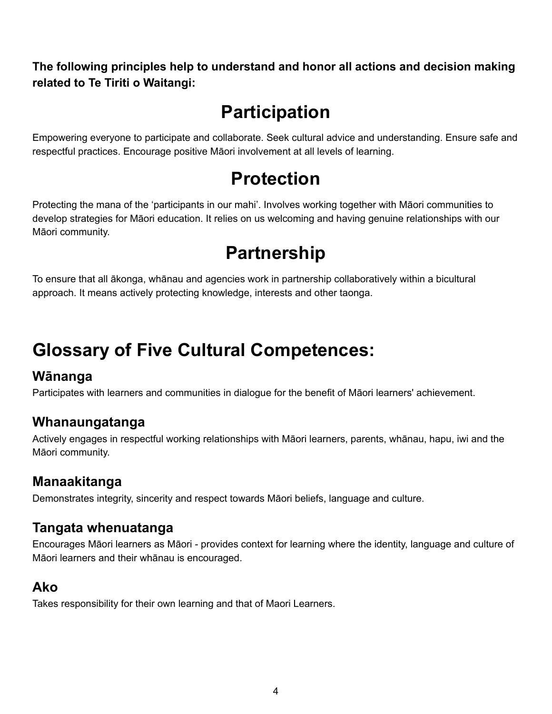**The following principles help to understand and honor all actions and decision making related to Te Tiriti o Waitangi:**

## **Participation**

Empowering everyone to participate and collaborate. Seek cultural advice and understanding. Ensure safe and respectful practices. Encourage positive Māori involvement at all levels of learning.

## **Protection**

Protecting the mana of the 'participants in our mahi'. Involves working together with Māori communities to develop strategies for Māori education. It relies on us welcoming and having genuine relationships with our Māori community.

## **Partnership**

To ensure that all ākonga, whānau and agencies work in partnership collaboratively within a bicultural approach. It means actively protecting knowledge, interests and other taonga.

## **Glossary of Five Cultural Competences:**

#### **Wānanga**

Participates with learners and communities in dialogue for the benefit of Māori learners' achievement.

### **Whanaungatanga**

Actively engages in respectful working relationships with Māori learners, parents, whānau, hapu, iwi and the Māori community.

### **Manaakitanga**

Demonstrates integrity, sincerity and respect towards Māori beliefs, language and culture.

### **Tangata whenuatanga**

Encourages Māori learners as Māori - provides context for learning where the identity, language and culture of Māori learners and their whānau is encouraged.

## **Ako**

Takes responsibility for their own learning and that of Maori Learners.